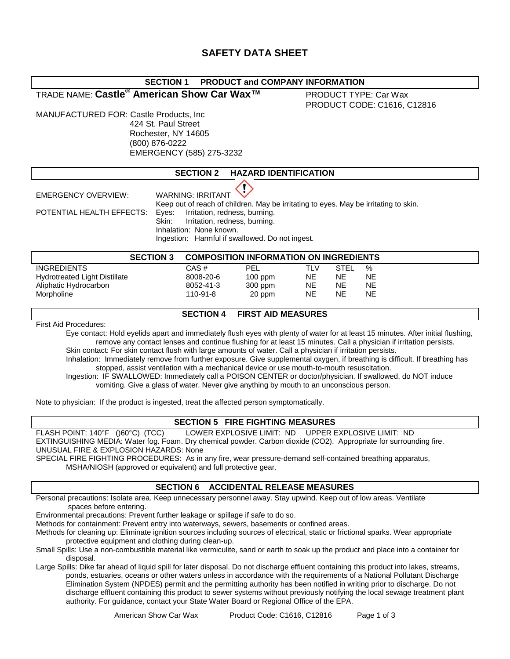# **SAFETY DATA SHEET**

# **SECTION 1 PRODUCT and COMPANY INFORMATION**

TRADE NAME: **Castle® American Show Car Wax™** PRODUCT TYPE: Car Wax

PRODUCT CODE: C1616, C12816

MANUFACTURED FOR: Castle Products, Inc 424 St. Paul Street Rochester, NY 14605 (800) 876-0222 EMERGENCY (585) 275-3232

| <b>HAZARD IDENTIFICATION</b><br><b>SECTION 2</b> |
|--------------------------------------------------|
|--------------------------------------------------|

Ţ

EMERGENCY OVERVIEW: WARNING: IRRITANT

Keep out of reach of children. May be irritating to eyes. May be irritating to skin. POTENTIAL HEALTH EFFECTS: Eyes: Irritation, redness, burning.

Skin: Irritation, redness, burning. Inhalation: None known.

Ingestion: Harmful if swallowed. Do not ingest.

| <b>SECTION 3</b>              |           | <b>COMPOSITION INFORMATION ON INGREDIENTS</b> |     |             |           |
|-------------------------------|-----------|-----------------------------------------------|-----|-------------|-----------|
| <b>INGREDIENTS</b>            | CAS #     | PEL                                           | TLV | <b>STEL</b> | %         |
| Hydrotreated Light Distillate | 8008-20-6 | $100$ ppm                                     | NE. | NE          | NE        |
| Aliphatic Hydrocarbon         | 8052-41-3 | 300 ppm                                       | NE  | NE          | NE        |
| Morpholine                    | 110-91-8  | 20 ppm                                        | NE. | NE          | <b>NE</b> |

# **SECTION 4 FIRST AID MEASURES**

First Aid Procedures:

Eye contact: Hold eyelids apart and immediately flush eyes with plenty of water for at least 15 minutes. After initial flushing, remove any contact lenses and continue flushing for at least 15 minutes. Call a physician if irritation persists. Skin contact: For skin contact flush with large amounts of water. Call a physician if irritation persists.

Inhalation: Immediately remove from further exposure. Give supplemental oxygen, if breathing is difficult. If breathing has stopped, assist ventilation with a mechanical device or use mouth-to-mouth resuscitation.

Ingestion: IF SWALLOWED: Immediately call a POISON CENTER or doctor/physician. If swallowed, do NOT induce vomiting. Give a glass of water. Never give anything by mouth to an unconscious person.

Note to physician: If the product is ingested, treat the affected person symptomatically.

# **SECTION 5 FIRE FIGHTING MEASURES**

FLASH POINT: 140°F ()60°C) (TCC) LOWER EXPLOSIVE LIMIT: ND UPPER EXPLOSIVE LIMIT: ND EXTINGUISHING MEDIA: Water fog. Foam. Dry chemical powder. Carbon dioxide (CO2). Appropriate for surrounding fire. UNUSUAL FIRE & EXPLOSION HAZARDS: None

SPECIAL FIRE FIGHTING PROCEDURES: As in any fire, wear pressure-demand self-contained breathing apparatus, MSHA/NIOSH (approved or equivalent) and full protective gear.

# **SECTION 6 ACCIDENTAL RELEASE MEASURES**

Personal precautions: Isolate area. Keep unnecessary personnel away. Stay upwind. Keep out of low areas. Ventilate spaces before entering.

Environmental precautions: Prevent further leakage or spillage if safe to do so.

Methods for containment: Prevent entry into waterways, sewers, basements or confined areas.

Methods for cleaning up: Eliminate ignition sources including sources of electrical, static or frictional sparks. Wear appropriate protective equipment and clothing during clean-up.

Small Spills: Use a non-combustible material like vermiculite, sand or earth to soak up the product and place into a container for disposal.

Large Spills: Dike far ahead of liquid spill for later disposal. Do not discharge effluent containing this product into lakes, streams, ponds, estuaries, oceans or other waters unless in accordance with the requirements of a National Pollutant Discharge Elimination System (NPDES) permit and the permitting authority has been notified in writing prior to discharge. Do not discharge effluent containing this product to sewer systems without previously notifying the local sewage treatment plant authority. For guidance, contact your State Water Board or Regional Office of the EPA.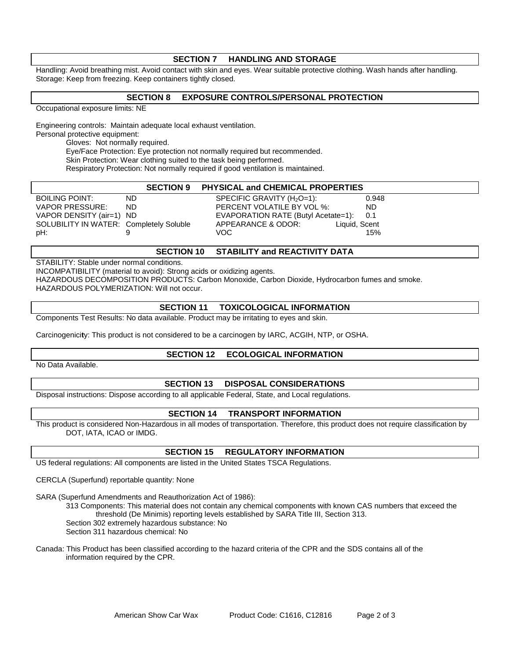#### **SECTION 7 HANDLING AND STORAGE**

Handling: Avoid breathing mist. Avoid contact with skin and eyes. Wear suitable protective clothing. Wash hands after handling. Storage: Keep from freezing. Keep containers tightly closed.

#### **SECTION 8 EXPOSURE CONTROLS/PERSONAL PROTECTION**

Occupational exposure limits: NE

Engineering controls: Maintain adequate local exhaust ventilation. Personal protective equipment: Gloves: Not normally required.

Eye/Face Protection: Eye protection not normally required but recommended.

Skin Protection: Wear clothing suited to the task being performed.

Respiratory Protection: Not normally required if good ventilation is maintained.

|                                         | <b>SECTION 9</b> | <b>PHYSICAL and CHEMICAL PROPERTIES</b> |       |
|-----------------------------------------|------------------|-----------------------------------------|-------|
| BOILING POINT:                          | ND.              | SPECIFIC GRAVITY $(H_2O=1)$ :           | 0.948 |
| VAPOR PRESSURE:                         | ND.              | PERCENT VOLATILE BY VOL %:              | ND.   |
| VAPOR DENSITY (air=1) ND                |                  | EVAPORATION RATE (Butyl Acetate=1):     | 0.1   |
| SOLUBILITY IN WATER: Completely Soluble |                  | Liquid, Scent<br>APPEARANCE & ODOR:     |       |
| pH:⊢                                    |                  | VOC.                                    | 15%   |
|                                         |                  |                                         |       |

#### **SECTION 10 STABILITY and REACTIVITY DATA**

STABILITY: Stable under normal conditions.

INCOMPATIBILITY (material to avoid): Strong acids or oxidizing agents.

HAZARDOUS DECOMPOSITION PRODUCTS: Carbon Monoxide, Carbon Dioxide, Hydrocarbon fumes and smoke. HAZARDOUS POLYMERIZATION: Will not occur.

# **SECTION 11 TOXICOLOGICAL INFORMATION**

Components Test Results: No data available. Product may be irritating to eyes and skin.

Carcinogenici**t**y: This product is not considered to be a carcinogen by IARC, ACGIH, NTP, or OSHA.

# **SECTION 12 ECOLOGICAL INFORMATION**

No Data Available.

# **SECTION 13 DISPOSAL CONSIDERATIONS**

Disposal instructions: Dispose according to all applicable Federal, State, and Local regulations.

# **SECTION 14 TRANSPORT INFORMATION**

This product is considered Non-Hazardous in all modes of transportation. Therefore, this product does not require classification by DOT, IATA, ICAO or IMDG.

# **SECTION 15 REGULATORY INFORMATION**

US federal regulations: All components are listed in the United States TSCA Regulations.

CERCLA (Superfund) reportable quantity: None

SARA (Superfund Amendments and Reauthorization Act of 1986):

313 Components: This material does not contain any chemical components with known CAS numbers that exceed the threshold (De Minimis) reporting levels established by SARA Title III, Section 313.

Section 302 extremely hazardous substance: No

Section 311 hazardous chemical: No

Canada: This Product has been classified according to the hazard criteria of the CPR and the SDS contains all of the information required by the CPR.